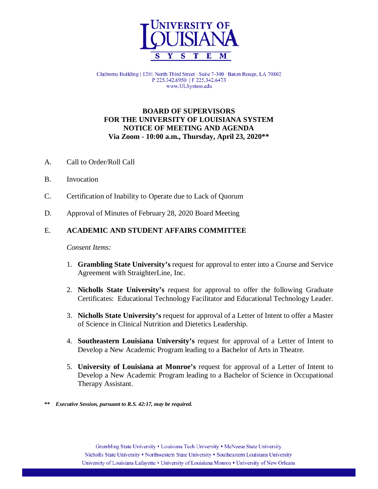

Claiborne Building | 1201 North Third Street | Suite 7-300 | Baton Rouge, LA 70802 P 225.342.6950 | F 225.342.6473 www.ULSystem.edu

## **BOARD OF SUPERVISORS FOR THE UNIVERSITY OF LOUISIANA SYSTEM NOTICE OF MEETING AND AGENDA Via Zoom - 10:00 a.m., Thursday, April 23, 2020\*\***

- A. Call to Order/Roll Call
- B. Invocation
- C. Certification of Inability to Operate due to Lack of Quorum
- D. Approval of Minutes of February 28, 2020 Board Meeting

### E. **ACADEMIC AND STUDENT AFFAIRS COMMITTEE**

*Consent Items:*

- 1. **Grambling State University's** request for approval to enter into a Course and Service Agreement with StraighterLine, Inc.
- 2. **Nicholls State University's** request for approval to offer the following Graduate Certificates: Educational Technology Facilitator and Educational Technology Leader.
- 3. **Nicholls State University's** request for approval of a Letter of Intent to offer a Master of Science in Clinical Nutrition and Dietetics Leadership.
- 4. **Southeastern Louisiana University's** request for approval of a Letter of Intent to Develop a New Academic Program leading to a Bachelor of Arts in Theatre.
- 5. **University of Louisiana at Monroe's** request for approval of a Letter of Intent to Develop a New Academic Program leading to a Bachelor of Science in Occupational Therapy Assistant.

**\*\*** *Executive Session, pursuant to R.S. 42:17, may be required.*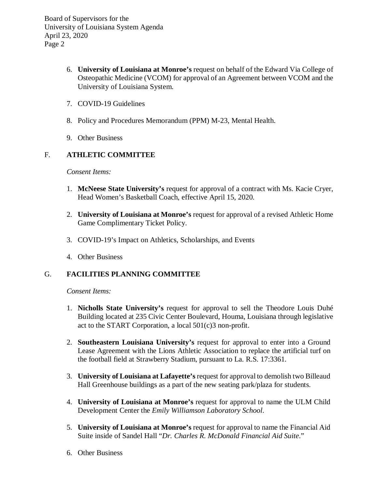Board of Supervisors for the University of Louisiana System Agenda April 23, 2020 Page 2

- 6. **University of Louisiana at Monroe's** request on behalf of the Edward Via College of Osteopathic Medicine (VCOM) for approval of an Agreement between VCOM and the University of Louisiana System.
- 7. COVID-19 Guidelines
- 8. Policy and Procedures Memorandum (PPM) M-23, Mental Health.
- 9. Other Business

# F. **ATHLETIC COMMITTEE**

*Consent Items:*

- 1. **McNeese State University's** request for approval of a contract with Ms. Kacie Cryer, Head Women's Basketball Coach, effective April 15, 2020.
- 2. **University of Louisiana at Monroe's** request for approval of a revised Athletic Home Game Complimentary Ticket Policy.
- 3. COVID-19's Impact on Athletics, Scholarships, and Events
- 4. Other Business

# G. **FACILITIES PLANNING COMMITTEE**

### *Consent Items:*

- 1. **Nicholls State University's** request for approval to sell the Theodore Louis Duhé Building located at 235 Civic Center Boulevard, Houma, Louisiana through legislative act to the START Corporation, a local 501(c)3 non-profit.
- 2. **Southeastern Louisiana University's** request for approval to enter into a Ground Lease Agreement with the Lions Athletic Association to replace the artificial turf on the football field at Strawberry Stadium, pursuant to La. R.S. 17:3361.
- 3. **University of Louisiana at Lafayette's**request for approval to demolish two Billeaud Hall Greenhouse buildings as a part of the new seating park/plaza for students.
- 4. **University of Louisiana at Monroe's** request for approval to name the ULM Child Development Center the *Emily Williamson Laboratory School*.
- 5. **University of Louisiana at Monroe's** request for approval to name the Financial Aid Suite inside of Sandel Hall "*Dr. Charles R. McDonald Financial Aid Suite*."
- 6. Other Business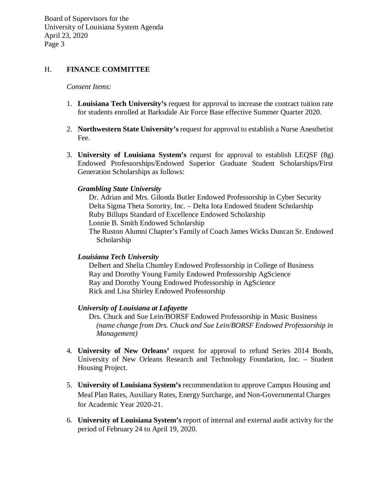Board of Supervisors for the University of Louisiana System Agenda April 23, 2020 Page 3

### H. **FINANCE COMMITTEE**

#### *Consent Items:*

- 1. **Louisiana Tech University's** request for approval to increase the contract tuition rate for students enrolled at Barksdale Air Force Base effective Summer Quarter 2020.
- 2. **Northwestern State University's** request for approval to establish a Nurse Anesthetist Fee.
- 3. **University of Louisiana System's** request for approval to establish LEQSF (8g) Endowed Professorships/Endowed Superior Graduate Student Scholarships/First Generation Scholarships as follows:

#### *Grambling State University*

Dr. Adrian and Mrs. Gilonda Butler Endowed Professorship in Cyber Security Delta Sigma Theta Sorority, Inc. – Delta Iota Endowed Student Scholarship Ruby Billups Standard of Excellence Endowed Scholarship Lonnie B. Smith Endowed Scholarship The Ruston Alumni Chapter's Family of Coach James Wicks Duncan Sr. Endowed Scholarship

#### *Louisiana Tech University*

Delbert and Shelia Chumley Endowed Professorship in College of Business Ray and Dorothy Young Family Endowed Professorship AgScience Ray and Dorothy Young Endowed Professorship in AgScience Rick and Lisa Shirley Endowed Professorship

#### *University of Louisiana at Lafayette*

Drs. Chuck and Sue Lein/BORSF Endowed Professorship in Music Business  *(name change from Drs. Chuck and Sue Lein/BORSF Endowed Professorship in Management)*

- 4. **University of New Orleans'** request for approval to refund Series 2014 Bonds, University of New Orleans Research and Technology Foundation, Inc. – Student Housing Project.
- 5. **University of Louisiana System's** recommendation to approve Campus Housing and Meal Plan Rates, Auxiliary Rates, Energy Surcharge, and Non-Governmental Charges for Academic Year 2020-21.
- 6. **University of Louisiana System's** report of internal and external audit activity for the period of February 24 to April 19, 2020.